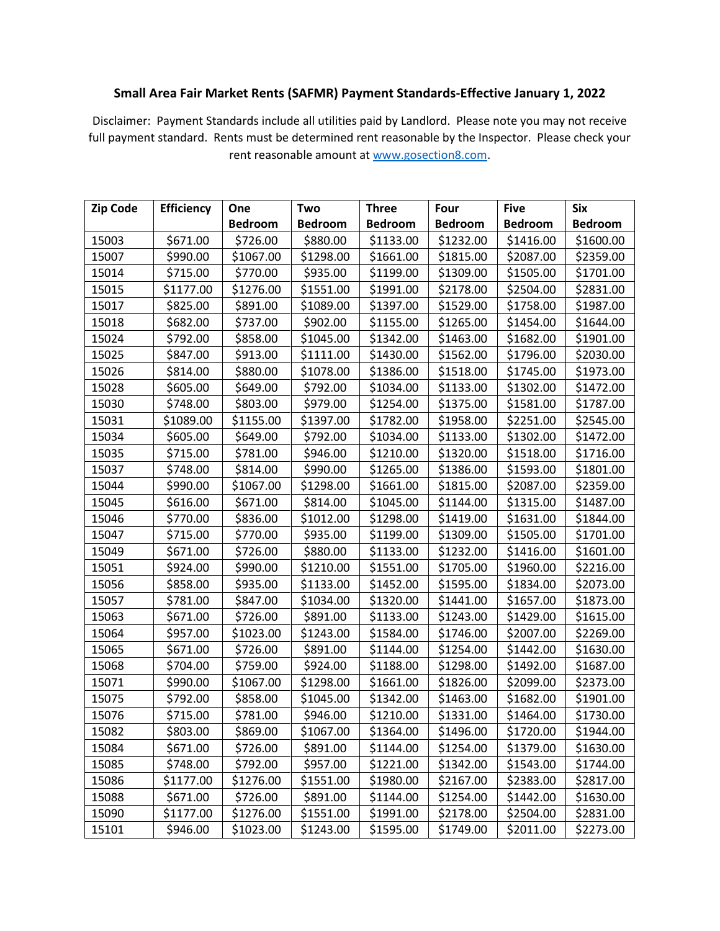## **Small Area Fair Market Rents (SAFMR) Payment Standards-Effective January 1, 2022**

Disclaimer: Payment Standards include all utilities paid by Landlord. Please note you may not receive full payment standard. Rents must be determined rent reasonable by the Inspector. Please check your rent reasonable amount at [www.gosection8.com.](http://www.gosection8.com/)

| <b>Zip Code</b> | <b>Efficiency</b> | One            | Two            | <b>Three</b>   | Four           | <b>Five</b>    | <b>Six</b>     |
|-----------------|-------------------|----------------|----------------|----------------|----------------|----------------|----------------|
|                 |                   | <b>Bedroom</b> | <b>Bedroom</b> | <b>Bedroom</b> | <b>Bedroom</b> | <b>Bedroom</b> | <b>Bedroom</b> |
| 15003           | \$671.00          | \$726.00       | \$880.00       | \$1133.00      | \$1232.00      | \$1416.00      | \$1600.00      |
| 15007           | \$990.00          | \$1067.00      | \$1298.00      | \$1661.00      | \$1815.00      | \$2087.00      | \$2359.00      |
| 15014           | \$715.00          | \$770.00       | \$935.00       | \$1199.00      | \$1309.00      | \$1505.00      | \$1701.00      |
| 15015           | \$1177.00         | \$1276.00      | \$1551.00      | \$1991.00      | \$2178.00      | \$2504.00      | \$2831.00      |
| 15017           | \$825.00          | \$891.00       | \$1089.00      | \$1397.00      | \$1529.00      | \$1758.00      | \$1987.00      |
| 15018           | \$682.00          | \$737.00       | \$902.00       | \$1155.00      | \$1265.00      | \$1454.00      | \$1644.00      |
| 15024           | \$792.00          | \$858.00       | \$1045.00      | \$1342.00      | \$1463.00      | \$1682.00      | \$1901.00      |
| 15025           | \$847.00          | \$913.00       | \$1111.00      | \$1430.00      | \$1562.00      | \$1796.00      | \$2030.00      |
| 15026           | \$814.00          | \$880.00       | \$1078.00      | \$1386.00      | \$1518.00      | \$1745.00      | \$1973.00      |
| 15028           | \$605.00          | \$649.00       | \$792.00       | \$1034.00      | \$1133.00      | \$1302.00      | \$1472.00      |
| 15030           | \$748.00          | \$803.00       | \$979.00       | \$1254.00      | \$1375.00      | \$1581.00      | \$1787.00      |
| 15031           | \$1089.00         | \$1155.00      | \$1397.00      | \$1782.00      | \$1958.00      | \$2251.00      | \$2545.00      |
| 15034           | \$605.00          | \$649.00       | \$792.00       | \$1034.00      | \$1133.00      | \$1302.00      | \$1472.00      |
| 15035           | \$715.00          | \$781.00       | \$946.00       | \$1210.00      | \$1320.00      | \$1518.00      | \$1716.00      |
| 15037           | \$748.00          | \$814.00       | \$990.00       | \$1265.00      | \$1386.00      | \$1593.00      | \$1801.00      |
| 15044           | \$990.00          | \$1067.00      | \$1298.00      | \$1661.00      | \$1815.00      | \$2087.00      | \$2359.00      |
| 15045           | \$616.00          | \$671.00       | \$814.00       | \$1045.00      | \$1144.00      | \$1315.00      | \$1487.00      |
| 15046           | \$770.00          | \$836.00       | \$1012.00      | \$1298.00      | \$1419.00      | \$1631.00      | \$1844.00      |
| 15047           | \$715.00          | \$770.00       | \$935.00       | \$1199.00      | \$1309.00      | \$1505.00      | \$1701.00      |
| 15049           | \$671.00          | \$726.00       | \$880.00       | \$1133.00      | \$1232.00      | \$1416.00      | \$1601.00      |
| 15051           | \$924.00          | \$990.00       | \$1210.00      | \$1551.00      | \$1705.00      | \$1960.00      | \$2216.00      |
| 15056           | \$858.00          | \$935.00       | \$1133.00      | \$1452.00      | \$1595.00      | \$1834.00      | \$2073.00      |
| 15057           | \$781.00          | \$847.00       | \$1034.00      | \$1320.00      | \$1441.00      | \$1657.00      | \$1873.00      |
| 15063           | \$671.00          | \$726.00       | \$891.00       | \$1133.00      | \$1243.00      | \$1429.00      | \$1615.00      |
| 15064           | \$957.00          | \$1023.00      | \$1243.00      | \$1584.00      | \$1746.00      | \$2007.00      | \$2269.00      |
| 15065           | \$671.00          | \$726.00       | \$891.00       | \$1144.00      | \$1254.00      | \$1442.00      | \$1630.00      |
| 15068           | \$704.00          | \$759.00       | \$924.00       | \$1188.00      | \$1298.00      | \$1492.00      | \$1687.00      |
| 15071           | \$990.00          | \$1067.00      | \$1298.00      | \$1661.00      | \$1826.00      | \$2099.00      | \$2373.00      |
| 15075           | \$792.00          | \$858.00       | \$1045.00      | \$1342.00      | \$1463.00      | \$1682.00      | \$1901.00      |
| 15076           | \$715.00          | \$781.00       | \$946.00       | \$1210.00      | \$1331.00      | \$1464.00      | \$1730.00      |
| 15082           | \$803.00          | \$869.00       | \$1067.00      | \$1364.00      | \$1496.00      | \$1720.00      | \$1944.00      |
| 15084           | \$671.00          | \$726.00       | \$891.00       | \$1144.00      | \$1254.00      | \$1379.00      | \$1630.00      |
| 15085           | \$748.00          | \$792.00       | \$957.00       | \$1221.00      | \$1342.00      | \$1543.00      | \$1744.00      |
| 15086           | \$1177.00         | \$1276.00      | \$1551.00      | \$1980.00      | \$2167.00      | \$2383.00      | \$2817.00      |
| 15088           | \$671.00          | \$726.00       | \$891.00       | \$1144.00      | \$1254.00      | \$1442.00      | \$1630.00      |
| 15090           | \$1177.00         | \$1276.00      | \$1551.00      | \$1991.00      | \$2178.00      | \$2504.00      | \$2831.00      |
| 15101           | \$946.00          | \$1023.00      | \$1243.00      | \$1595.00      | \$1749.00      | \$2011.00      | \$2273.00      |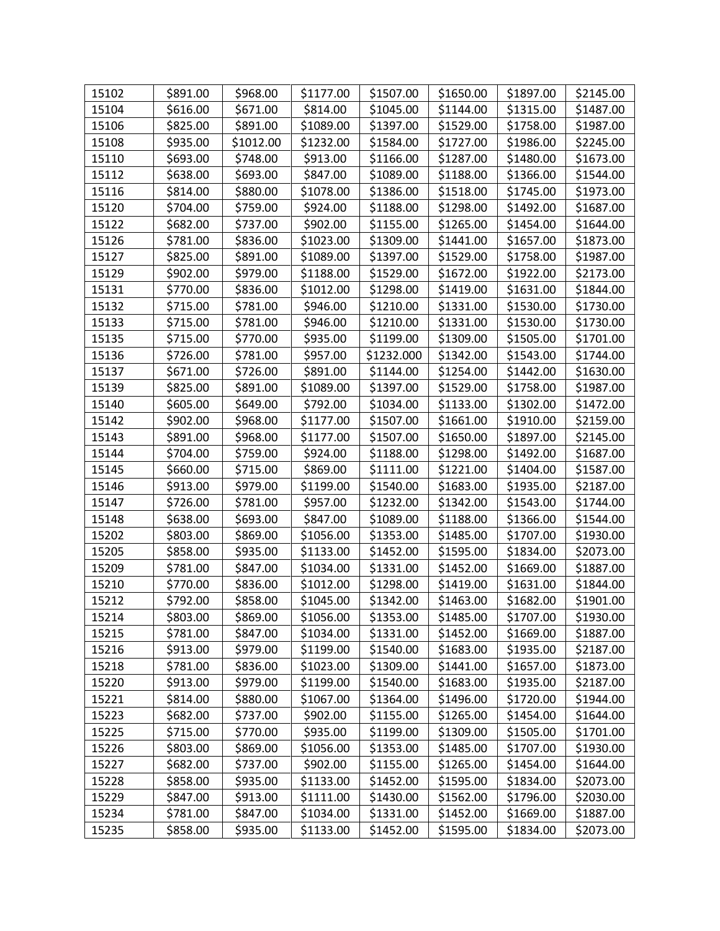| 15102 | \$891.00 | \$968.00  | \$1177.00 | \$1507.00  | \$1650.00 | \$1897.00 | \$2145.00 |
|-------|----------|-----------|-----------|------------|-----------|-----------|-----------|
| 15104 | \$616.00 | \$671.00  | \$814.00  | \$1045.00  | \$1144.00 | \$1315.00 | \$1487.00 |
| 15106 | \$825.00 | \$891.00  | \$1089.00 | \$1397.00  | \$1529.00 | \$1758.00 | \$1987.00 |
| 15108 | \$935.00 | \$1012.00 | \$1232.00 | \$1584.00  | \$1727.00 | \$1986.00 | \$2245.00 |
| 15110 | \$693.00 | \$748.00  | \$913.00  | \$1166.00  | \$1287.00 | \$1480.00 | \$1673.00 |
| 15112 | \$638.00 | \$693.00  | \$847.00  | \$1089.00  | \$1188.00 | \$1366.00 | \$1544.00 |
| 15116 | \$814.00 | \$880.00  | \$1078.00 | \$1386.00  | \$1518.00 | \$1745.00 | \$1973.00 |
| 15120 | \$704.00 | \$759.00  | \$924.00  | \$1188.00  | \$1298.00 | \$1492.00 | \$1687.00 |
| 15122 | \$682.00 | \$737.00  | \$902.00  | \$1155.00  | \$1265.00 | \$1454.00 | \$1644.00 |
| 15126 | \$781.00 | \$836.00  | \$1023.00 | \$1309.00  | \$1441.00 | \$1657.00 | \$1873.00 |
| 15127 | \$825.00 | \$891.00  | \$1089.00 | \$1397.00  | \$1529.00 | \$1758.00 | \$1987.00 |
| 15129 | \$902.00 | \$979.00  | \$1188.00 | \$1529.00  | \$1672.00 | \$1922.00 | \$2173.00 |
| 15131 | \$770.00 | \$836.00  | \$1012.00 | \$1298.00  | \$1419.00 | \$1631.00 | \$1844.00 |
| 15132 | \$715.00 | \$781.00  | \$946.00  | \$1210.00  | \$1331.00 | \$1530.00 | \$1730.00 |
| 15133 | \$715.00 | \$781.00  | \$946.00  | \$1210.00  | \$1331.00 | \$1530.00 | \$1730.00 |
| 15135 | \$715.00 | \$770.00  | \$935.00  | \$1199.00  | \$1309.00 | \$1505.00 | \$1701.00 |
| 15136 | \$726.00 | \$781.00  | \$957.00  | \$1232.000 | \$1342.00 | \$1543.00 | \$1744.00 |
| 15137 | \$671.00 | \$726.00  | \$891.00  | \$1144.00  | \$1254.00 | \$1442.00 | \$1630.00 |
| 15139 | \$825.00 | \$891.00  | \$1089.00 | \$1397.00  | \$1529.00 | \$1758.00 | \$1987.00 |
| 15140 | \$605.00 | \$649.00  | \$792.00  | \$1034.00  | \$1133.00 | \$1302.00 | \$1472.00 |
| 15142 | \$902.00 | \$968.00  | \$1177.00 | \$1507.00  | \$1661.00 | \$1910.00 | \$2159.00 |
| 15143 | \$891.00 | \$968.00  | \$1177.00 | \$1507.00  | \$1650.00 | \$1897.00 | \$2145.00 |
| 15144 | \$704.00 | \$759.00  | \$924.00  | \$1188.00  | \$1298.00 | \$1492.00 | \$1687.00 |
| 15145 | \$660.00 | \$715.00  | \$869.00  | \$1111.00  | \$1221.00 | \$1404.00 | \$1587.00 |
| 15146 | \$913.00 | \$979.00  | \$1199.00 | \$1540.00  | \$1683.00 | \$1935.00 | \$2187.00 |
| 15147 | \$726.00 | \$781.00  | \$957.00  | \$1232.00  | \$1342.00 | \$1543.00 | \$1744.00 |
| 15148 | \$638.00 | \$693.00  | \$847.00  | \$1089.00  | \$1188.00 | \$1366.00 | \$1544.00 |
| 15202 | \$803.00 | \$869.00  | \$1056.00 | \$1353.00  | \$1485.00 | \$1707.00 | \$1930.00 |
| 15205 | \$858.00 | \$935.00  | \$1133.00 | \$1452.00  | \$1595.00 | \$1834.00 | \$2073.00 |
| 15209 | \$781.00 | \$847.00  | \$1034.00 | \$1331.00  | \$1452.00 | \$1669.00 | \$1887.00 |
| 15210 | \$770.00 | \$836.00  | \$1012.00 | \$1298.00  | \$1419.00 | \$1631.00 | \$1844.00 |
| 15212 | \$792.00 | \$858.00  | \$1045.00 | \$1342.00  | \$1463.00 | \$1682.00 | \$1901.00 |
| 15214 | \$803.00 | \$869.00  | \$1056.00 | \$1353.00  | \$1485.00 | \$1707.00 | \$1930.00 |
| 15215 | \$781.00 | \$847.00  | \$1034.00 | \$1331.00  | \$1452.00 | \$1669.00 | \$1887.00 |
| 15216 | \$913.00 | \$979.00  | \$1199.00 | \$1540.00  | \$1683.00 | \$1935.00 | \$2187.00 |
| 15218 | \$781.00 | \$836.00  | \$1023.00 | \$1309.00  | \$1441.00 | \$1657.00 | \$1873.00 |
| 15220 | \$913.00 | \$979.00  | \$1199.00 | \$1540.00  | \$1683.00 | \$1935.00 | \$2187.00 |
| 15221 | \$814.00 | \$880.00  | \$1067.00 | \$1364.00  | \$1496.00 | \$1720.00 | \$1944.00 |
| 15223 | \$682.00 | \$737.00  | \$902.00  | \$1155.00  | \$1265.00 | \$1454.00 | \$1644.00 |
| 15225 | \$715.00 | \$770.00  | \$935.00  | \$1199.00  | \$1309.00 | \$1505.00 | \$1701.00 |
| 15226 | \$803.00 | \$869.00  | \$1056.00 | \$1353.00  | \$1485.00 | \$1707.00 | \$1930.00 |
| 15227 | \$682.00 | \$737.00  | \$902.00  | \$1155.00  | \$1265.00 | \$1454.00 | \$1644.00 |
| 15228 | \$858.00 | \$935.00  | \$1133.00 | \$1452.00  | \$1595.00 | \$1834.00 | \$2073.00 |
| 15229 | \$847.00 | \$913.00  | \$1111.00 | \$1430.00  | \$1562.00 | \$1796.00 | \$2030.00 |
| 15234 | \$781.00 | \$847.00  | \$1034.00 | \$1331.00  | \$1452.00 | \$1669.00 | \$1887.00 |
| 15235 | \$858.00 | \$935.00  | \$1133.00 | \$1452.00  | \$1595.00 | \$1834.00 | \$2073.00 |